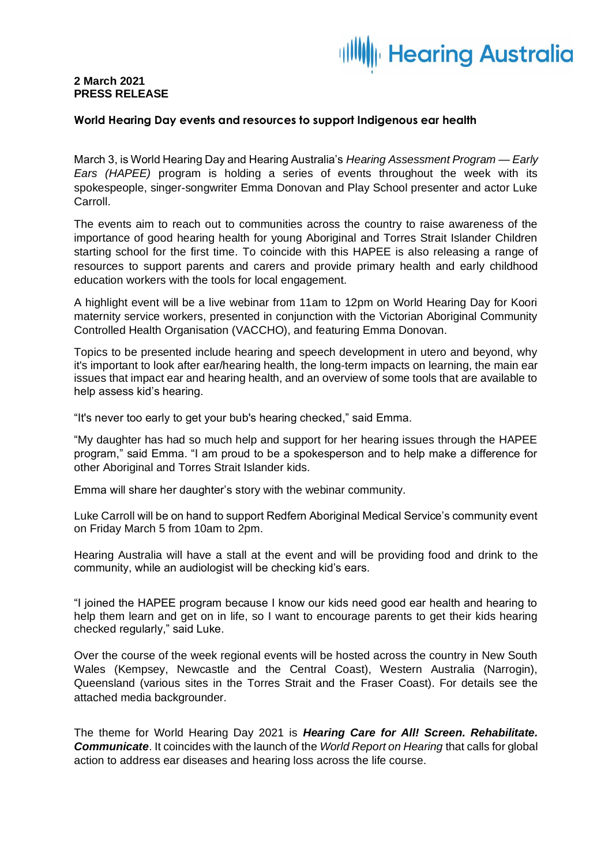## **Hearing Australia**

### **2 March 2021 PRESS RELEASE**

#### **World Hearing Day events and resources to support Indigenous ear health**

March 3, is World Hearing Day and Hearing Australia's *Hearing Assessment Program — Early Ears (HAPEE)* program is holding a series of events throughout the week with its spokespeople, singer-songwriter Emma Donovan and Play School presenter and actor Luke Carroll.

The events aim to reach out to communities across the country to raise awareness of the importance of good hearing health for young Aboriginal and Torres Strait Islander Children starting school for the first time. To coincide with this HAPEE is also releasing a range of resources to support parents and carers and provide primary health and early childhood education workers with the tools for local engagement.

A highlight event will be a live webinar from 11am to 12pm on World Hearing Day for Koori maternity service workers, presented in conjunction with the Victorian Aboriginal Community Controlled Health Organisation (VACCHO), and featuring Emma Donovan.

Topics to be presented include hearing and speech development in utero and beyond, why it's important to look after ear/hearing health, the long-term impacts on learning, the main ear issues that impact ear and hearing health, and an overview of some tools that are available to help assess kid's hearing.

"It's never too early to get your bub's hearing checked," said Emma.

"My daughter has had so much help and support for her hearing issues through the HAPEE program," said Emma. "I am proud to be a spokesperson and to help make a difference for other Aboriginal and Torres Strait Islander kids.

Emma will share her daughter's story with the webinar community.

Luke Carroll will be on hand to support Redfern Aboriginal Medical Service's community event on Friday March 5 from 10am to 2pm.

Hearing Australia will have a stall at the event and will be providing food and drink to the community, while an audiologist will be checking kid's ears.

"I joined the HAPEE program because I know our kids need good ear health and hearing to help them learn and get on in life, so I want to encourage parents to get their kids hearing checked regularly," said Luke.

Over the course of the week regional events will be hosted across the country in New South Wales (Kempsey, Newcastle and the Central Coast), Western Australia (Narrogin), Queensland (various sites in the Torres Strait and the Fraser Coast). For details see the attached media backgrounder.

The theme for World Hearing Day 2021 is *Hearing Care for All! Screen. Rehabilitate. Communicate*. It coincides with the launch of the *World Report on Hearing* that calls for global action to address ear diseases and hearing loss across the life course.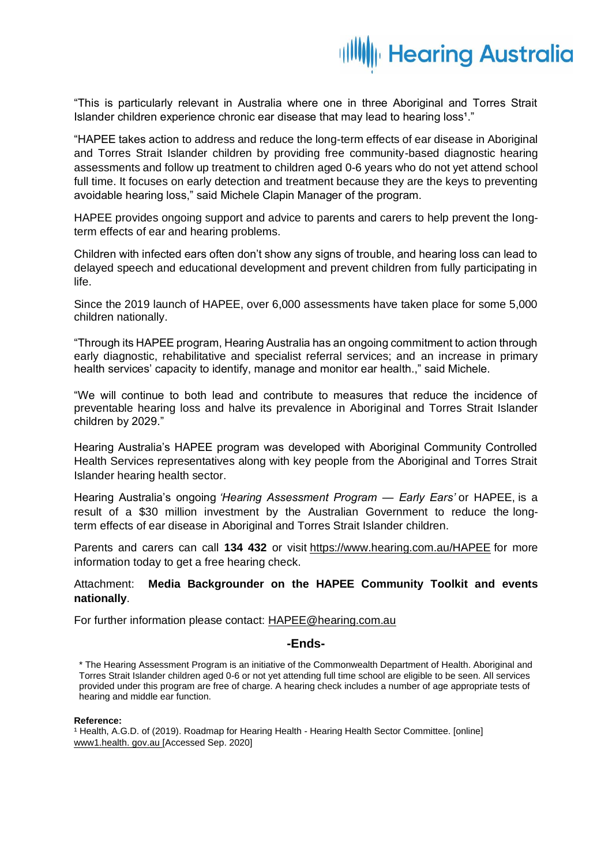## **Hearing Australia**

"This is particularly relevant in Australia where one in three Aboriginal and Torres Strait Islander children experience chronic ear disease that may lead to hearing loss<sup>1</sup>."

"HAPEE takes action to address and reduce the long-term effects of ear disease in Aboriginal and Torres Strait Islander children by providing free community-based diagnostic hearing assessments and follow up treatment to children aged 0-6 years who do not yet attend school full time. It focuses on early detection and treatment because they are the keys to preventing avoidable hearing loss," said Michele Clapin Manager of the program.

HAPEE provides ongoing support and advice to parents and carers to help prevent the longterm effects of ear and hearing problems.

Children with infected ears often don't show any signs of trouble, and hearing loss can lead to delayed speech and educational development and prevent children from fully participating in life.

Since the 2019 launch of HAPEE, over 6,000 assessments have taken place for some 5,000 children nationally.

"Through its HAPEE program, Hearing Australia has an ongoing commitment to action through early diagnostic, rehabilitative and specialist referral services; and an increase in primary health services' capacity to identify, manage and monitor ear health.," said Michele.

"We will continue to both lead and contribute to measures that reduce the incidence of preventable hearing loss and halve its prevalence in Aboriginal and Torres Strait Islander children by 2029."

Hearing Australia's HAPEE program was developed with Aboriginal Community Controlled Health Services representatives along with key people from the Aboriginal and Torres Strait Islander hearing health sector.

Hearing Australia's ongoing *'Hearing Assessment Program — Early Ears'* or HAPEE, is a result of a \$30 million investment by the Australian Government to reduce the longterm effects of ear disease in Aboriginal and Torres Strait Islander children.

Parents and carers can call **134 432** or visit <https://www.hearing.com.au/HAPEE> for more information today to get a free hearing check.

#### Attachment: **Media Backgrounder on the HAPEE Community Toolkit and events nationally**.

For further information please contact: [HAPEE@hearing.com.au](mailto:HAPEE@hearing.com.au)

#### **-Ends-**

\* The Hearing Assessment Program is an initiative of the Commonwealth Department of Health. Aboriginal and Torres Strait Islander children aged 0-6 or not yet attending full time school are eligible to be seen. All services provided under this program are free of charge. A hearing check includes a number of age appropriate tests of hearing and middle ear function.

#### **Reference:**

<sup>1</sup> Health, A.G.D. of (2019). Roadmap for Hearing Health - Hearing Health Sector Committee. [online] www1.health. gov.au [Accessed Sep. 2020]